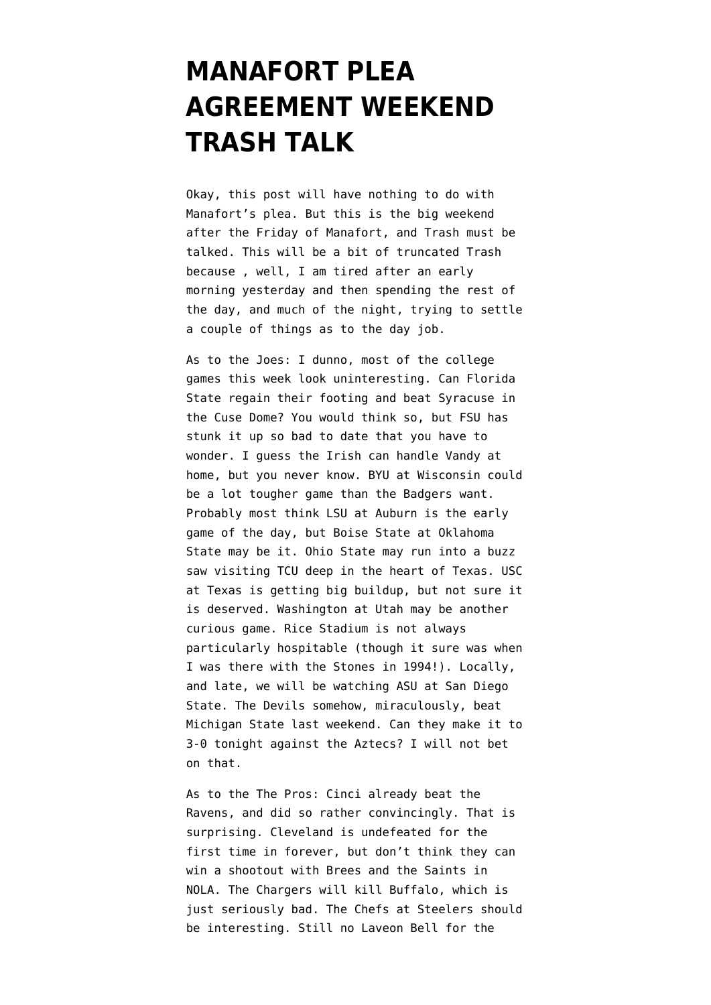## **[MANAFORT PLEA](https://www.emptywheel.net/2018/09/15/manafort-plea-agreement-weekend-trash-talk/) [AGREEMENT WEEKEND](https://www.emptywheel.net/2018/09/15/manafort-plea-agreement-weekend-trash-talk/) [TRASH TALK](https://www.emptywheel.net/2018/09/15/manafort-plea-agreement-weekend-trash-talk/)**

Okay, this post will have nothing to do with Manafort's plea. But this is the big weekend after the Friday of Manafort, and Trash must be talked. This will be a bit of truncated Trash because , well, I am tired after an early morning yesterday and then spending the rest of the day, and much of the night, trying to settle a couple of things as to the day job.

As to the Joes: I dunno, most of the college games this week look uninteresting. Can Florida State regain their footing and beat Syracuse in the Cuse Dome? You would think so, but FSU has stunk it up so bad to date that you have to wonder. I guess the Irish can handle Vandy at home, but you never know. BYU at Wisconsin could be a lot tougher game than the Badgers want. Probably most think LSU at Auburn is the early game of the day, but Boise State at Oklahoma State may be it. Ohio State may run into a buzz saw visiting TCU deep in the heart of Texas. USC at Texas is getting big buildup, but not sure it is deserved. Washington at Utah may be another curious game. Rice Stadium is not always particularly hospitable (though it sure was when I was there with the Stones in 1994!). Locally, and late, we will be watching ASU at San Diego State. The Devils somehow, miraculously, beat Michigan State last weekend. Can they make it to 3-0 tonight against the Aztecs? I will not bet on that.

As to the The Pros: Cinci already beat the Ravens, and did so rather convincingly. That is surprising. Cleveland is undefeated for the first time in forever, but don't think they can win a shootout with Brees and the Saints in NOLA. The Chargers will kill Buffalo, which is just seriously bad. The Chefs at Steelers should be interesting. Still no Laveon Bell for the